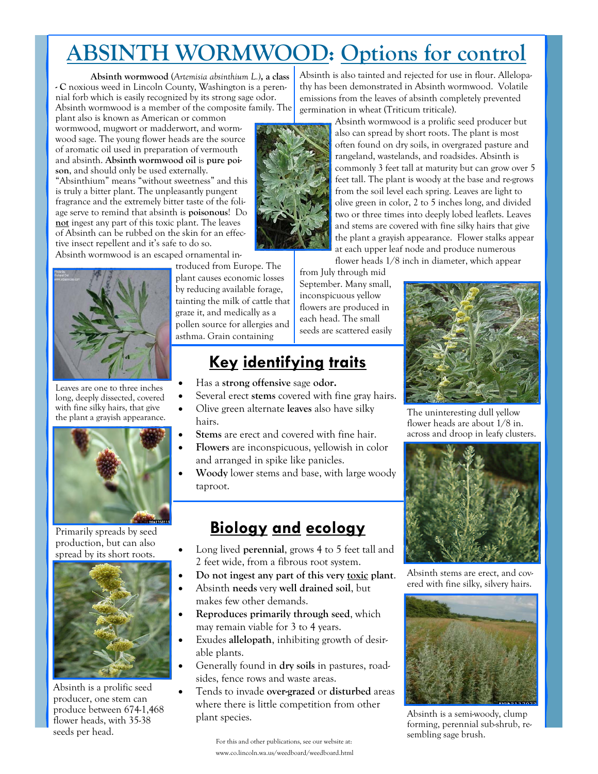# **ABSINTH WORMWOOD: Options for control**

**Absinth wormwood** (*Artemisia absinthium L.)***, a class - C** noxious weed in Lincoln County, Washington is a perennial forb which is easily recognized by its strong sage odor. Absinth wormwood is a member of the composite family. The

plant also is known as American or common wormwood, mugwort or madderwort, and wormwood sage. The young flower heads are the source of aromatic oil used in preparation of vermouth and absinth. **Absinth wormwood oil** is **pure poison**, and should only be used externally.

"Absinthium" means "without sweetness" and this is truly a bitter plant. The unpleasantly pungent fragrance and the extremely bitter taste of the foliage serve to remind that absinth is **poisonous**! Do **not** ingest any part of this toxic plant. The leaves of Absinth can be rubbed on the skin for an effective insect repellent and it's safe to do so.

Absinth wormwood is an escaped ornamental in-



Leaves are one to three inches long, deeply dissected, covered with fine silky hairs, that give the plant a grayish appearance.



Primarily spreads by seed production, but can also spread by its short roots.



Absinth is a prolific seed producer, one stem can produce between 674-1,468 flower heads, with 35-38 seeds per head.

troduced from Europe. The plant causes economic losses by reducing available forage, tainting the milk of cattle that graze it, and medically as a pollen source for allergies and asthma. Grain containing

## **Key identifying traits**

- Has a **strong offensive** sage **odor.**
- Several erect **stems** covered with fine gray hairs.
- Olive green alternate **leaves** also have silky hairs.
- Stems are erect and covered with fine hair.
- **Flowers** are inconspicuous, yellowish in color and arranged in spike like panicles.
- **Woody** lower stems and base, with large woody taproot.

### **Biology and ecology**

- Long lived **perennial**, grows 4 to 5 feet tall and 2 feet wide, from a fibrous root system.
- **Do not ingest any part of this very toxic plant**.
- Absinth **needs** very **well drained soil**, but makes few other demands.
- **Reproduces primarily through seed**, which may remain viable for 3 to 4 years.
- Exudes **allelopath**, inhibiting growth of desirable plants.
- Generally found in **dry soils** in pastures, roadsides, fence rows and waste areas.
- Tends to invade **over-grazed** or **disturbed** areas where there is little competition from other plant species. The contract of the plant species. Absinth is a semi-woody, clump

For this and other publications, see our website at: www.co.lincoln.wa.us/weedboard/weedboard.html

Absinth is also tainted and rejected for use in flour. Allelopathy has been demonstrated in Absinth wormwood. Volatile emissions from the leaves of absinth completely prevented germination in wheat (Triticum triticale).



Absinth wormwood is a prolific seed producer but also can spread by short roots. The plant is most often found on dry soils, in overgrazed pasture and rangeland, wastelands, and roadsides. Absinth is commonly 3 feet tall at maturity but can grow over 5 feet tall. The plant is woody at the base and re-grows from the soil level each spring. Leaves are light to olive green in color, 2 to 5 inches long, and divided two or three times into deeply lobed leaflets. Leaves and stems are covered with fine silky hairs that give the plant a grayish appearance. Flower stalks appear at each upper leaf node and produce numerous

flower heads 1/8 inch in diameter, which appear

from July through mid September. Many small, inconspicuous yellow flowers are produced in each head. The small seeds are scattered easily



The uninteresting dull yellow flower heads are about 1/8 in. across and droop in leafy clusters.



Absinth stems are erect, and covered with fine silky, silvery hairs.



forming, perennial sub-shrub, resembling sage brush.